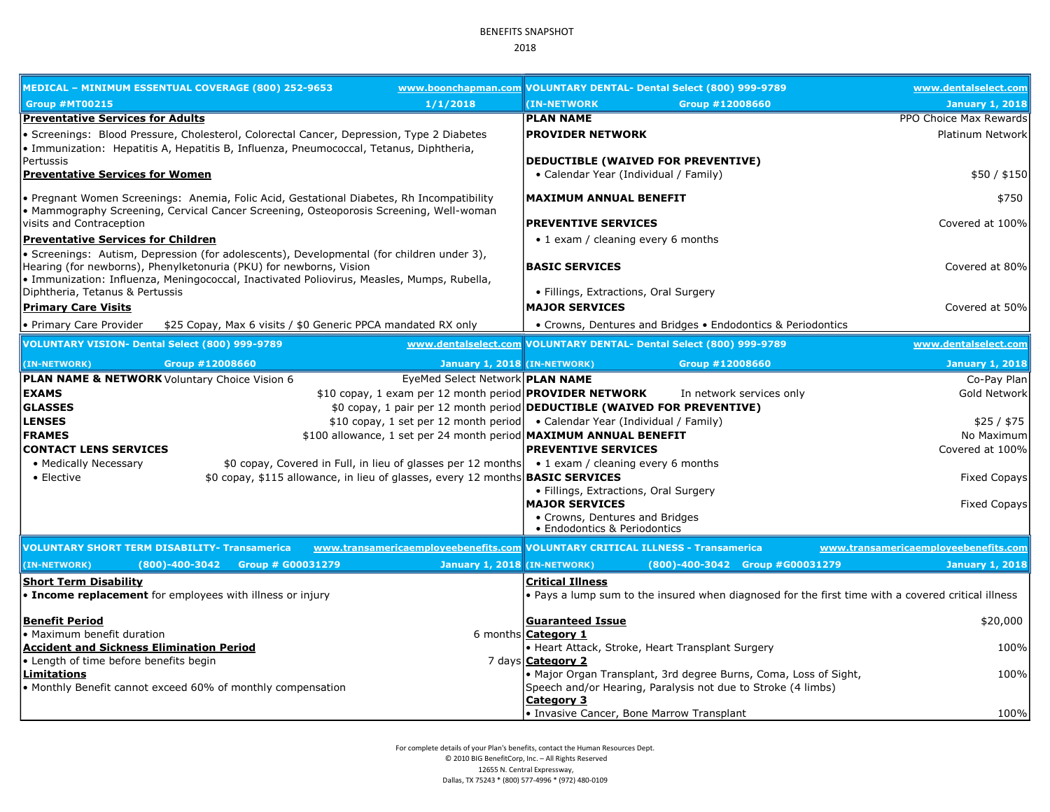## BENEFITS SNAPSHOT 2018

|                                                                                                                                                                                                                                                               | MEDICAL – MINIMUM ESSENTUAL COVERAGE (800) 252-9653                                                                                                                                  |                                                                                | www.boonchapman.com VOLUNTARY DENTAL- Dental Select (800) 999-9789             |                                                                  | www.dentalselect.com                                                                               |
|---------------------------------------------------------------------------------------------------------------------------------------------------------------------------------------------------------------------------------------------------------------|--------------------------------------------------------------------------------------------------------------------------------------------------------------------------------------|--------------------------------------------------------------------------------|--------------------------------------------------------------------------------|------------------------------------------------------------------|----------------------------------------------------------------------------------------------------|
| <b>Group #MT00215</b>                                                                                                                                                                                                                                         |                                                                                                                                                                                      | 1/1/2018                                                                       | (IN-NETWORK                                                                    | Group #12008660                                                  | <b>January 1, 2018</b>                                                                             |
| <b>Preventative Services for Adults</b>                                                                                                                                                                                                                       |                                                                                                                                                                                      |                                                                                | <b>PLAN NAME</b>                                                               |                                                                  | PPO Choice Max Rewards                                                                             |
|                                                                                                                                                                                                                                                               | · Screenings: Blood Pressure, Cholesterol, Colorectal Cancer, Depression, Type 2 Diabetes<br>· Immunization: Hepatitis A, Hepatitis B, Influenza, Pneumococcal, Tetanus, Diphtheria, |                                                                                | <b>PROVIDER NETWORK</b>                                                        |                                                                  | Platinum Network                                                                                   |
| Pertussis<br><b>Preventative Services for Women</b>                                                                                                                                                                                                           |                                                                                                                                                                                      |                                                                                | DEDUCTIBLE (WAIVED FOR PREVENTIVE)<br>• Calendar Year (Individual / Family)    |                                                                  | \$50/\$150                                                                                         |
| • Pregnant Women Screenings: Anemia, Folic Acid, Gestational Diabetes, Rh Incompatibility<br>• Mammography Screening, Cervical Cancer Screening, Osteoporosis Screening, Well-woman                                                                           |                                                                                                                                                                                      |                                                                                | <b>MAXIMUM ANNUAL BENEFIT</b>                                                  |                                                                  | \$750                                                                                              |
| visits and Contraception                                                                                                                                                                                                                                      |                                                                                                                                                                                      |                                                                                | <b>PREVENTIVE SERVICES</b>                                                     |                                                                  | Covered at 100%                                                                                    |
| <b>Preventative Services for Children</b>                                                                                                                                                                                                                     |                                                                                                                                                                                      |                                                                                | • 1 exam / cleaning every 6 months                                             |                                                                  |                                                                                                    |
| • Screenings: Autism, Depression (for adolescents), Developmental (for children under 3),<br>Hearing (for newborns), Phenylketonuria (PKU) for newborns, Vision<br>· Immunization: Influenza, Meningococcal, Inactivated Poliovirus, Measles, Mumps, Rubella, |                                                                                                                                                                                      |                                                                                | <b>BASIC SERVICES</b>                                                          |                                                                  | Covered at 80%                                                                                     |
| Diphtheria, Tetanus & Pertussis<br><b>Primary Care Visits</b>                                                                                                                                                                                                 |                                                                                                                                                                                      |                                                                                | • Fillings, Extractions, Oral Surgery<br><b>MAJOR SERVICES</b>                 |                                                                  | Covered at 50%                                                                                     |
|                                                                                                                                                                                                                                                               |                                                                                                                                                                                      |                                                                                |                                                                                |                                                                  |                                                                                                    |
| • Primary Care Provider                                                                                                                                                                                                                                       | \$25 Copay, Max 6 visits / \$0 Generic PPCA mandated RX only                                                                                                                         |                                                                                |                                                                                | • Crowns, Dentures and Bridges • Endodontics & Periodontics      |                                                                                                    |
| VOLUNTARY VISION- Dental Select (800) 999-9789                                                                                                                                                                                                                |                                                                                                                                                                                      |                                                                                | www.dentalselect.com VOLUNTARY DENTAL- Dental Select (800) 999-9789            |                                                                  | www.dentalselect.com                                                                               |
| (IN-NETWORK)                                                                                                                                                                                                                                                  | Group #12008660                                                                                                                                                                      | January 1, 2018 (IN-NETWORK)                                                   |                                                                                | Group #12008660                                                  | <b>January 1, 2018</b>                                                                             |
|                                                                                                                                                                                                                                                               | <b>PLAN NAME &amp; NETWORK</b> Voluntary Choice Vision 6                                                                                                                             | EyeMed Select Network <b>PLAN NAME</b>                                         |                                                                                |                                                                  | Co-Pay Plan                                                                                        |
| <b>EXAMS</b>                                                                                                                                                                                                                                                  |                                                                                                                                                                                      | \$10 copay, 1 exam per 12 month period <b>PROVIDER NETWORK</b>                 |                                                                                | In network services only                                         | Gold Network                                                                                       |
| <b>GLASSES</b>                                                                                                                                                                                                                                                |                                                                                                                                                                                      | \$0 copay, 1 pair per 12 month period DEDUCTIBLE (WAIVED FOR PREVENTIVE)       |                                                                                |                                                                  |                                                                                                    |
| <b>LENSES</b>                                                                                                                                                                                                                                                 |                                                                                                                                                                                      | \$10 copay, 1 set per 12 month period   • Calendar Year (Individual / Family)  |                                                                                |                                                                  | \$25/ \$75                                                                                         |
| <b>FRAMES</b>                                                                                                                                                                                                                                                 |                                                                                                                                                                                      | \$100 allowance, 1 set per 24 month period MAXIMUM ANNUAL BENEFIT              |                                                                                |                                                                  | No Maximum                                                                                         |
| <b>CONTACT LENS SERVICES</b><br>• Medically Necessary                                                                                                                                                                                                         |                                                                                                                                                                                      | \$0 copay, Covered in Full, in lieu of glasses per 12 months                   | <b>PREVENTIVE SERVICES</b><br>• 1 exam / cleaning every 6 months               |                                                                  | Covered at 100%                                                                                    |
| • Elective                                                                                                                                                                                                                                                    |                                                                                                                                                                                      | \$0 copay, \$115 allowance, in lieu of glasses, every 12 months BASIC SERVICES |                                                                                |                                                                  | <b>Fixed Copays</b>                                                                                |
|                                                                                                                                                                                                                                                               |                                                                                                                                                                                      |                                                                                | • Fillings, Extractions, Oral Surgery                                          |                                                                  |                                                                                                    |
|                                                                                                                                                                                                                                                               |                                                                                                                                                                                      |                                                                                | <b>MAJOR SERVICES</b>                                                          |                                                                  | <b>Fixed Copays</b>                                                                                |
|                                                                                                                                                                                                                                                               |                                                                                                                                                                                      |                                                                                | • Crowns, Dentures and Bridges<br>• Endodontics & Periodontics                 |                                                                  |                                                                                                    |
|                                                                                                                                                                                                                                                               | <b>VOLUNTARY SHORT TERM DISABILITY- Transamerica</b>                                                                                                                                 | www.transamericaemployeebenefits.com VOLUNTARY CRITICAL ILLNESS - Transamerica |                                                                                |                                                                  | www.transamericaemployeebenefits.com                                                               |
| (IN-NETWORK)                                                                                                                                                                                                                                                  | $(800) - 400 - 3042$<br>Group # G00031279                                                                                                                                            | January 1, 2018 (IN-NETWORK)                                                   |                                                                                | (800)-400-3042 Group #G00031279                                  | <b>January 1, 2018</b>                                                                             |
| <b>Short Term Disability</b>                                                                                                                                                                                                                                  |                                                                                                                                                                                      |                                                                                | <b>Critical Illness</b>                                                        |                                                                  |                                                                                                    |
|                                                                                                                                                                                                                                                               | • Income replacement for employees with illness or injury                                                                                                                            |                                                                                |                                                                                |                                                                  | . Pays a lump sum to the insured when diagnosed for the first time with a covered critical illness |
| <b>Benefit Period</b>                                                                                                                                                                                                                                         |                                                                                                                                                                                      |                                                                                | <b>Guaranteed Issue</b>                                                        |                                                                  | \$20,000                                                                                           |
| • Maximum benefit duration<br><b>Accident and Sickness Elimination Period</b>                                                                                                                                                                                 |                                                                                                                                                                                      |                                                                                | 6 months <b>Category 1</b><br>• Heart Attack, Stroke, Heart Transplant Surgery |                                                                  | 100%                                                                                               |
| • Length of time before benefits begin                                                                                                                                                                                                                        |                                                                                                                                                                                      |                                                                                | 7 days <b>Category 2</b>                                                       |                                                                  |                                                                                                    |
| <u>Limitations</u>                                                                                                                                                                                                                                            |                                                                                                                                                                                      |                                                                                |                                                                                | . Major Organ Transplant, 3rd degree Burns, Coma, Loss of Sight, | 100%                                                                                               |
|                                                                                                                                                                                                                                                               | • Monthly Benefit cannot exceed 60% of monthly compensation                                                                                                                          |                                                                                |                                                                                | Speech and/or Hearing, Paralysis not due to Stroke (4 limbs)     |                                                                                                    |
|                                                                                                                                                                                                                                                               |                                                                                                                                                                                      |                                                                                | Category 3                                                                     |                                                                  |                                                                                                    |
|                                                                                                                                                                                                                                                               |                                                                                                                                                                                      |                                                                                | • Invasive Cancer, Bone Marrow Transplant                                      |                                                                  | 100%                                                                                               |

For complete details of your Plan's benefits, contact the Human Resources Dept. © 2010 BIG BenefitCorp, Inc. – All Rights Reserved 12655 N. Central Expressway, Dallas, TX 75243 \* (800) 577-4996 \* (972) 480-0109